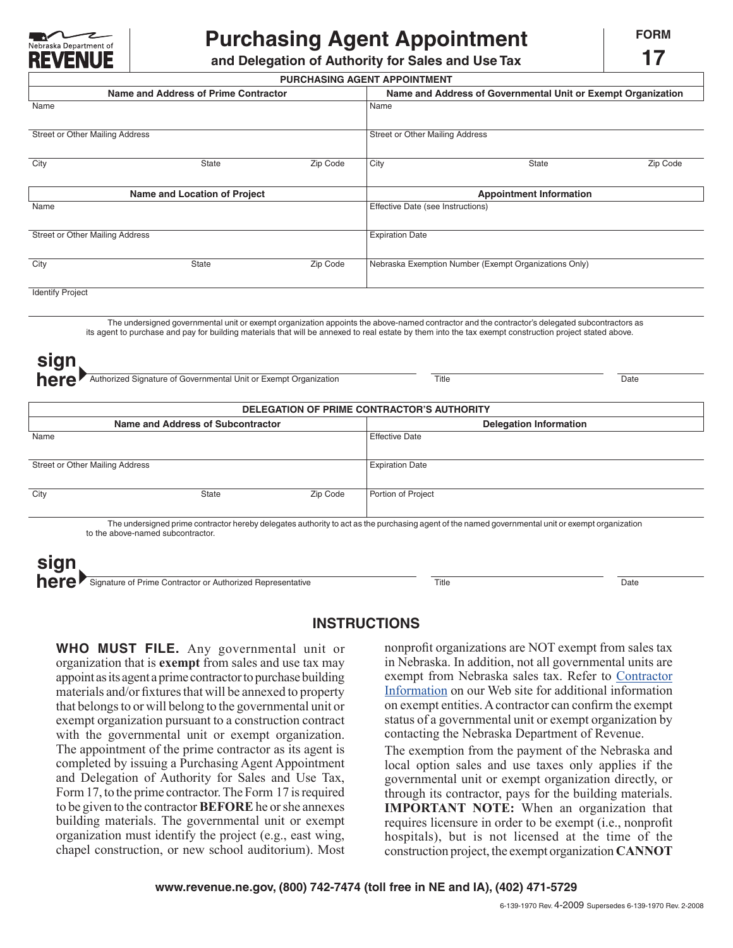

## **Purchasing Agent Appointment**

**17**

**and Delegation of Authority for Sales and Use Tax**

| Name and Address of Prime Contractor<br>Zip Code<br><b>Name and Location of Project</b> | Name and Address of Governmental Unit or Exempt Organization<br>Name<br>Street or Other Mailing Address<br>City<br>Zip Code<br>State          |
|-----------------------------------------------------------------------------------------|-----------------------------------------------------------------------------------------------------------------------------------------------|
|                                                                                         |                                                                                                                                               |
|                                                                                         |                                                                                                                                               |
|                                                                                         |                                                                                                                                               |
|                                                                                         |                                                                                                                                               |
|                                                                                         | <b>Appointment Information</b>                                                                                                                |
|                                                                                         | Effective Date (see Instructions)                                                                                                             |
|                                                                                         | <b>Expiration Date</b>                                                                                                                        |
| Zip Code                                                                                | Nebraska Exemption Number (Exempt Organizations Only)                                                                                         |
|                                                                                         |                                                                                                                                               |
|                                                                                         | The undersigned governmental unit or exempt organization appoints the above-named contractor and the contractor's delegated subcontractors as |

its agent to purchase and pay for building materials that will be annexed to real estate by them into the tax exempt construction project stated above.

| sign<br>here<br>Authorized Signature of Governmental Unit or Exempt Organization | Title<br>Date                 |  |  |  |  |
|----------------------------------------------------------------------------------|-------------------------------|--|--|--|--|
| DELEGATION OF PRIME CONTRACTOR'S AUTHORITY                                       |                               |  |  |  |  |
| Name and Address of Subcontractor                                                | <b>Delegation Information</b> |  |  |  |  |
| Name                                                                             | <b>Effective Date</b>         |  |  |  |  |
|                                                                                  |                               |  |  |  |  |
| Street or Other Mailing Address                                                  | <b>Expiration Date</b>        |  |  |  |  |

| City | State                                                                                                                                             | Zip Code | Portion of Project |  |
|------|---------------------------------------------------------------------------------------------------------------------------------------------------|----------|--------------------|--|
|      |                                                                                                                                                   |          |                    |  |
|      | The undersigned prime contractor hereby delegates authority to act as the purchasing agent of the named governmental unit or exempt croanization. |          |                    |  |

The undersigned prime contractor hereby delegates authority to act as the purchasing agent of the named governmental unit or exempt organization to the above-named subcontractor.

**here** Signature of Prime Contractor or Authorized Representative Title Title **Title Date sign**

## **INSTRUCTIONS**

**WHO MUST FILE.** Any governmental unit or organization that is **exempt** from sales and use tax may appoint as its agent a prime contractor to purchase building materials and/or fixtures that will be annexed to property that belongs to or will belong to the governmental unit or exempt organization pursuant to a construction contract with the governmental unit or exempt organization. The appointment of the prime contractor as its agent is completed by issuing a Purchasing Agent Appointment and Delegation of Authority for Sales and Use Tax, Form17, to the prime contractor. The Form 17 is required to be given to the contractor **BEFORE** he or she annexes building materials. The governmental unit or exempt organization must identify the project (e.g., east wing, chapel construction, or new school auditorium). Most nonprofit organizations are NOT exempt from sales tax in Nebraska. In addition, not all governmental units are exempt from Nebraska sales tax. Refer to Contractor [Information on our Web site for additional information](http://www.revenue.ne.gov/contractor.htm)  on exempt entities. A contractor can confirm the exempt status of a governmental unit or exempt organization by contacting the Nebraska Department of Revenue.

The exemption from the payment of the Nebraska and local option sales and use taxes only applies if the governmental unit or exempt organization directly, or through its contractor, pays for the building materials. **IMPORTANT NOTE:** When an organization that requires licensure in order to be exempt (i.e., nonprofit hospitals), but is not licensed at the time of the construction project, the exempt organization **cannot**